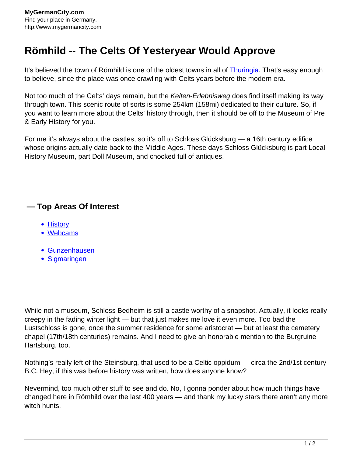## **Römhild -- The Celts Of Yesteryear Would Approve**

It's believed the town of Römhild is one of the oldest towns in all of **Thuringia**. That's easy enough to believe, since the place was once crawling with Celts years before the modern era.

Not too much of the Celts' days remain, but the Kelten-Erlebnisweg does find itself making its way through town. This scenic route of sorts is some 254km (158mi) dedicated to their culture. So, if you want to learn more about the Celts' history through, then it should be off to the Museum of Pre & Early History for you.

For me it's always about the castles, so it's off to Schloss Glücksburg — a 16th century edifice whose origins actually date back to the Middle Ages. These days Schloss Glücksburg is part Local History Museum, part Doll Museum, and chocked full of antiques.

## **— Top Areas Of Interest**

- **[History](http://www.mygermancity.com/leipzig-history)**
- [Webcams](http://www.mygermancity.com/neustadt-holstein-webcams)
- [Gunzenhausen](http://www.mygermancity.com/gunzenhausen)
- [Sigmaringen](http://www.mygermancity.com/sigmaringen)

While not a museum, Schloss Bedheim is still a castle worthy of a snapshot. Actually, it looks really creepy in the fading winter light — but that just makes me love it even more. Too bad the Lustschloss is gone, once the summer residence for some aristocrat — but at least the cemetery chapel (17th/18th centuries) remains. And I need to give an honorable mention to the Burgruine Hartsburg, too.

Nothing's really left of the Steinsburg, that used to be a Celtic oppidum — circa the 2nd/1st century B.C. Hey, if this was before history was written, how does anyone know?

Nevermind, too much other stuff to see and do. No, I gonna ponder about how much things have changed here in Römhild over the last 400 years — and thank my lucky stars there aren't any more witch hunts.